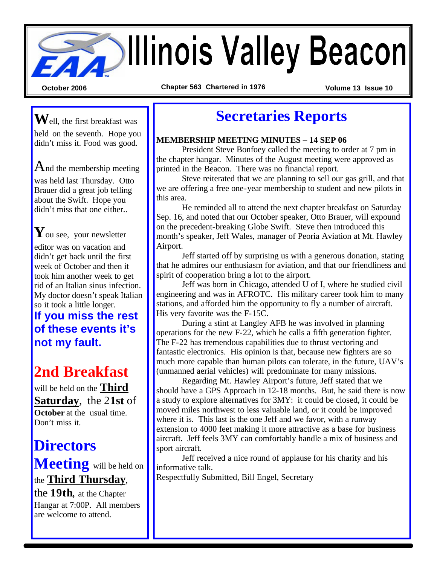# **Sollinois Valley Beacon**

**October 2006 Chapter 563 Chartered in 1976 Volume 13 Issue 10**

**W**ell, the first breakfast was held on the seventh. Hope you didn't miss it. Food was good.

 $A_{nd}$  the membership meeting was held last Thursday. Otto Brauer did a great job telling about the Swift. Hope you didn't miss that one either...

**Y**ou see, your newsletter editor was on vacation and didn't get back until the first week of October and then it took him another week to get rid of an Italian sinus infection. My doctor doesn't speak Italian so it took a little longer.

**If you miss the rest of these events it's not my fault.**

# **2nd Breakfast**

will be held on the **Third Saturday**, the 2**1st** of **October** at the usual time. Don't miss it.

# **Directors**

**Meeting** will be held on the **Third Thursday**,

the **19th**, at the Chapter Hangar at 7:00P. All members are welcome to attend.

## **Secretaries Reports**

#### **MEMBERSHIP MEETING MINUTES – 14 SEP 06**

President Steve Bonfoey called the meeting to order at 7 pm in the chapter hangar. Minutes of the August meeting were approved as printed in the Beacon. There was no financial report.

Steve reiterated that we are planning to sell our gas grill, and that we are offering a free one-year membership to student and new pilots in this area.

He reminded all to attend the next chapter breakfast on Saturday Sep. 16, and noted that our October speaker, Otto Brauer, will expound on the precedent-breaking Globe Swift. Steve then introduced this month's speaker, Jeff Wales, manager of Peoria Aviation at Mt. Hawley Airport.

Jeff started off by surprising us with a generous donation, stating that he admires our enthusiasm for aviation, and that our friendliness and spirit of cooperation bring a lot to the airport.

Jeff was born in Chicago, attended U of I, where he studied civil engineering and was in AFROTC. His military career took him to many stations, and afforded him the opportunity to fly a number of aircraft. His very favorite was the F-15C.

During a stint at Langley AFB he was involved in planning operations for the new F-22, which he calls a fifth generation fighter. The F-22 has tremendous capabilities due to thrust vectoring and fantastic electronics. His opinion is that, because new fighters are so much more capable than human pilots can tolerate, in the future, UAV's (unmanned aerial vehicles) will predominate for many missions.

Regarding Mt. Hawley Airport's future, Jeff stated that we should have a GPS Approach in 12-18 months. But, he said there is now a study to explore alternatives for 3MY: it could be closed, it could be moved miles northwest to less valuable land, or it could be improved where it is. This last is the one Jeff and we favor, with a runway extension to 4000 feet making it more attractive as a base for business aircraft. Jeff feels 3MY can comfortably handle a mix of business and sport aircraft.

Jeff received a nice round of applause for his charity and his informative talk.

Respectfully Submitted, Bill Engel, Secretary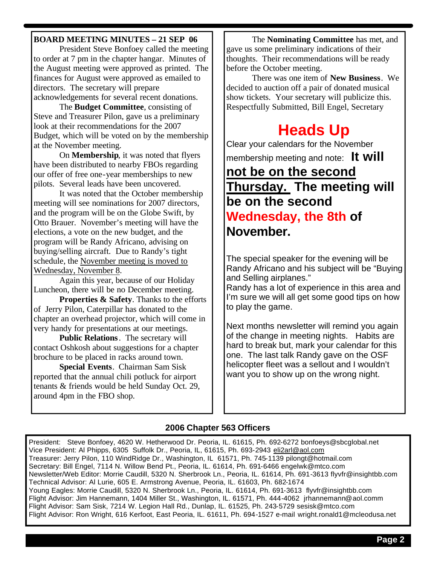#### **BOARD MEETING MINUTES – 21 SEP 06**

President Steve Bonfoey called the meeting to order at 7 pm in the chapter hangar. Minutes of the August meeting were approved as printed. The finances for August were approved as emailed to directors. The secretary will prepare acknowledgements for several recent donations.

The **Budget Committee**, consisting of Steve and Treasurer Pilon, gave us a preliminary look at their recommendations for the 2007 Budget, which will be voted on by the membership at the November meeting.

On **Membership**, it was noted that flyers have been distributed to nearby FBOs regarding our offer of free one-year memberships to new pilots. Several leads have been uncovered.

It was noted that the October membership meeting will see nominations for 2007 directors, and the program will be on the Globe Swift, by Otto Brauer. November's meeting will have the elections, a vote on the new budget, and the program will be Randy Africano, advising on buying/selling aircraft. Due to Randy's tight schedule, the November meeting is moved to Wednesday, November 8.

Again this year, because of our Holiday Luncheon, there will be no December meeting.

**Properties & Safety**. Thanks to the efforts of Jerry Pilon, Caterpillar has donated to the chapter an overhead projector, which will come in very handy for presentations at our meetings.

**Public Relations**. The secretary will contact Oshkosh about suggestions for a chapter brochure to be placed in racks around town.

**Special Events**. Chairman Sam Sisk reported that the annual chili potluck for airport tenants & friends would be held Sunday Oct. 29, around 4pm in the FBO shop.

The **Nominating Committee** has met, and gave us some preliminary indications of their thoughts. Their recommendations will be ready before the October meeting.

There was one item of **New Business**. We decided to auction off a pair of donated musical show tickets. Your secretary will publicize this. Respectfully Submitted, Bill Engel, Secretary

# **Heads Up**

Clear your calendars for the November

membership meeting and note: **It will** 

## **not be on the second Thursday. The meeting will be on the second Wednesday, the 8th of November.**

The special speaker for the evening will be Randy Africano and his subject will be "Buying and Selling airplanes."

Randy has a lot of experience in this area and I'm sure we will all get some good tips on how to play the game.

Next months newsletter will remind you again of the change in meeting nights. Habits are hard to break but, mark your calendar for this one. The last talk Randy gave on the OSF helicopter fleet was a sellout and I wouldn't want you to show up on the wrong night.

#### **2006 Chapter 563 Officers**

President: Steve Bonfoey, 4620 W. Hetherwood Dr. Peoria, IL. 61615, Ph. 692-6272 bonfoeys@sbcglobal.net Vice President: Al Phipps, 6305 Suffolk Dr., Peoria, IL, 61615, Ph. 693-2943 eli2arl@aol.com Treasurer: Jerry Pilon, 110 WindRidge Dr., Washington, IL 61571, Ph. 745-1139 pilongt@hotmail.com Secretary: Bill Engel, 7114 N. Willow Bend Pt., Peoria, IL. 61614, Ph. 691-6466 engelwk@mtco.com Newsletter/Web Editor: Morrie Caudill, 5320 N. Sherbrook Ln., Peoria, IL. 61614, Ph. 691-3613 flyvfr@insightbb.com Technical Advisor: Al Lurie, 605 E. Armstrong Avenue, Peoria, IL. 61603, Ph. 682-1674 Young Eagles: Morrie Caudill, 5320 N. Sherbrook Ln., Peoria, IL. 61614, Ph. 691-3613 flyvfr@insightbb.com Flight Advisor: Jim Hannemann, 1404 Miller St., Washington, IL. 61571, Ph. 444-4062 jrhannemann@aol.comm Flight Advisor: Sam Sisk, 7214 W. Legion Hall Rd., Dunlap, IL. 61525, Ph. 243-5729 sesisk@mtco.com Flight Advisor: Ron Wright, 616 Kerfoot, East Peoria, IL. 61611, Ph. 694-1527 e-mail wright.ronald1@mcleodusa.net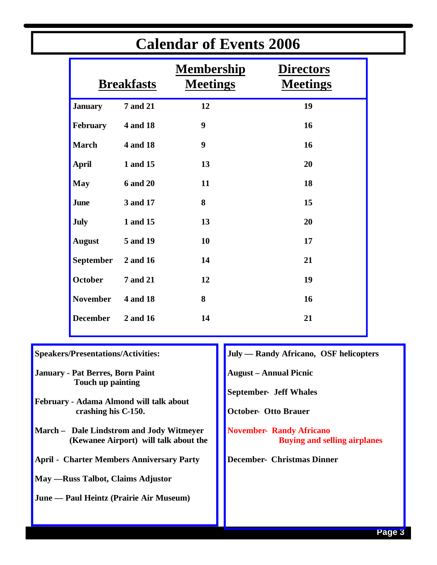| Calendal of Events 2000 |                 |                                      |                                     |
|-------------------------|-----------------|--------------------------------------|-------------------------------------|
| <b>Breakfasts</b>       |                 | <b>Membership</b><br><b>Meetings</b> | <b>Directors</b><br><b>Meetings</b> |
| <b>January</b>          | <b>7</b> and 21 | 12                                   | 19                                  |
| February                | 4 and 18        | 9                                    | 16                                  |
| <b>March</b>            | 4 and 18        | 9                                    | 16                                  |
| <b>April</b>            | 1 and 15        | 13                                   | 20                                  |
| <b>May</b>              | <b>6 and 20</b> | 11                                   | 18                                  |
| <b>June</b>             | 3 and 17        | 8                                    | 15                                  |
| <b>July</b>             | 1 and 15        | 13                                   | 20                                  |
| <b>August</b>           | 5 and 19        | 10                                   | 17                                  |
| <b>September</b>        | 2 and 16        | 14                                   | 21                                  |
| October                 | <b>7 and 21</b> | 12                                   | 19                                  |
| <b>November</b>         | <b>4 and 18</b> | 8                                    | 16                                  |
| <b>December</b>         | 2 and 16        | 14                                   | 21                                  |
|                         |                 |                                      |                                     |

## **Calendar of Events 2006**

**Speakers/Presentations/Activities:**

**January - Pat Berres, Born Paint Touch up painting**

**February - Adama Almond will talk about crashing his C-150.**

- **March Dale Lindstrom and Jody Witmeyer (Kewanee Airport) will talk about the**
- **April Charter Members Anniversary Party**

**May —Russ Talbot, Claims Adjustor**

**June — Paul Heintz (Prairie Air Museum)**

**July — Randy Africano, OSF helicopters**

**August – Annual Picnic**

**September- Jeff Whales**

**October- Otto Brauer**

**November- Randy Africano Buying and selling airplanes**

**December- Christmas Dinner**